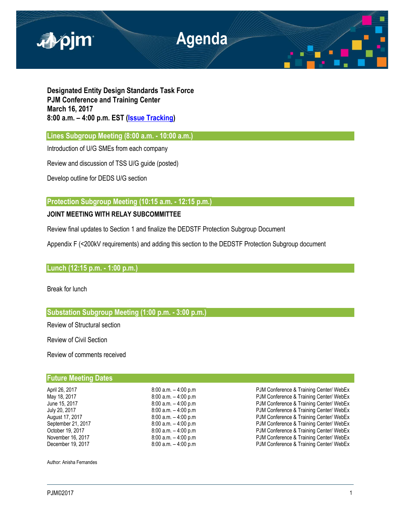

**Designated Entity Design Standards Task Force PJM Conference and Training Center March 16, 2017 8:00 a.m. – 4:00 p.m. EST [\(Issue Tracking\)](http://www.pjm.com/committees-and-groups/issue-tracking/issue-tracking-details.aspx?Issue=%7bE6133A76-DEC6-49DD-89E3-F5ECC642EA67%7d)**

**Lines Subgroup Meeting (8:00 a.m. - 10:00 a.m.)** 

Introduction of U/G SMEs from each company

Review and discussion of TSS U/G guide (posted)

Develop outline for DEDS U/G section

**Protection Subgroup Meeting (10:15 a.m. - 12:15 p.m.)** 

# **JOINT MEETING WITH RELAY SUBCOMMITTEE**

Review final updates to Section 1 and finalize the DEDSTF Protection Subgroup Document

Appendix F (<200kV requirements) and adding this section to the DEDSTF Protection Subgroup document

# **Lunch (12:15 p.m. - 1:00 p.m.)**

Break for lunch

# **Substation Subgroup Meeting (1:00 p.m. - 3:00 p.m.)**

Review of Structural section

Review of Civil Section

Review of comments received

# **Future Meeting Dates**

April 26, 2017 **19:00 a.m.** – 4:00 p.m **PJM Conference & Training Center/ WebEx**<br>May 18, 2017 **19:00 a.m.** – 4:00 p.m **PJM Conference & Training Center/ WebEx** May 18, 2017 **19:00 a.m.** – 4:00 p.m **PJM Conference & Training Center/ WebEx**<br>
19:00 a.m. – 4:00 p.m **PJM Conference & Training Center/ WebEx** June 15, 2017 <br>July 20, 2017 **8:00 a.m.** – 4:00 p.m **PJM Conference & Training Center/ WebEx**<br>July 20, 2017 **8:00 a.m.** – 4:00 p.m **PJM Conference & Training Center/ WebEx** PJM Conference & Training Center/ WebEx August 17, 2017 **8:00 a.m.** – 4:00 p.m **PJM Conference & Training Center/ WebEx** September 21, 2017 **8:00 a.m.** – 4:00 p.m **PJM Conference & Training Center/ WebEx**<br>19. October 19. 2017 **19. PUM Conference & Training Center/ WebEx** October 19, 2017 **8:00 a.m.** – 4:00 p.m **PJM Conference & Training Center/ WebEx** November 16, 2017 **8:00 a.m.** – 4:00 p.m **PJM Conference & Training Center/ WebEx** December 19, 2017 **8:00 a.m.** – 4:00 p.m **PJM Conference & Training Center/ WebEx** 

Author: Anisha Fernandes